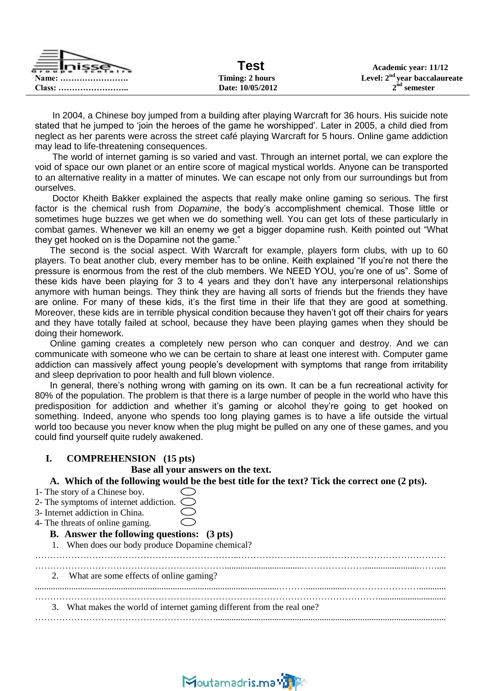| <u>""inisse""</u> | Test             | Academic year: 11/12            |
|-------------------|------------------|---------------------------------|
| Name:             | Timing: 2 hours  | Level: $2nd$ year baccalaureate |
|                   | Date: 10/05/2012 | $2nd$ semester                  |

 In 2004, a Chinese boy jumped from a building after playing Warcraft for 36 hours. His suicide note stated that he jumped to "join the heroes of the game he worshipped". Later in 2005, a child died from neglect as her parents were across the street café playing Warcraft for 5 hours. Online game addiction may lead to life-threatening consequences.

 The world of internet gaming is so varied and vast. Through an internet portal, we can explore the void of space our own planet or an entire score of magical mystical worlds. Anyone can be transported to an alternative reality in a matter of minutes. We can escape not only from our surroundings but from ourselves.

 Doctor Kheith Bakker explained the aspects that really make online gaming so serious. The first factor is the chemical rush from *Dopamine*, the body"s accomplishment chemical. Those little or sometimes huge buzzes we get when we do something well. You can get lots of these particularly in combat games. Whenever we kill an enemy we get a bigger dopamine rush. Keith pointed out "What they get hooked on is the Dopamine not the game."

 The second is the social aspect. With Warcraft for example, players form clubs, with up to 60 players. To beat another club, every member has to be online. Keith explained "If you"re not there the pressure is enormous from the rest of the club members. We NEED YOU, you"re one of us". Some of these kids have been playing for 3 to 4 years and they don"t have any interpersonal relationships anymore with human beings. They think they are having all sorts of friends but the friends they have are online. For many of these kids, it"s the first time in their life that they are good at something. Moreover, these kids are in terrible physical condition because they haven"t got off their chairs for years and they have totally failed at school, because they have been playing games when they should be doing their homework.

 Online gaming creates a completely new person who can conquer and destroy. And we can communicate with someone who we can be certain to share at least one interest with. Computer game addiction can massively affect young people's development with symptoms that range from irritability and sleep deprivation to poor health and full blown violence.

In general, there's nothing wrong with gaming on its own. It can be a fun recreational activity for 80% of the population. The problem is that there is a large number of people in the world who have this predisposition for addiction and whether it's gaming or alcohol they're going to get hooked on something. Indeed, anyone who spends too long playing games is to have a life outside the virtual world too because you never know when the plug might be pulled on any one of these games, and you could find yourself quite rudely awakened.

## **I. COMPREHENSION (15 pts)**

 **Base all your answers on the text.**

**A. Which of the following would be the best title for the text? Tick the correct one (2 pts).**

| 1- The story of a Chinese boy.                                          |  |  |  |  |  |
|-------------------------------------------------------------------------|--|--|--|--|--|
| 2- The symptoms of internet addiction.<br>くつ                            |  |  |  |  |  |
| 3- Internet addiction in China.                                         |  |  |  |  |  |
| 4- The threats of online gaming.                                        |  |  |  |  |  |
| <b>B.</b> Answer the following questions: (3 pts)                       |  |  |  |  |  |
| 1. When does our body produce Dopamine chemical?                        |  |  |  |  |  |
|                                                                         |  |  |  |  |  |
|                                                                         |  |  |  |  |  |
| What are some effects of online gaming?<br>2.                           |  |  |  |  |  |
|                                                                         |  |  |  |  |  |
|                                                                         |  |  |  |  |  |
| 3. What makes the world of internet gaming different from the real one? |  |  |  |  |  |
|                                                                         |  |  |  |  |  |
|                                                                         |  |  |  |  |  |

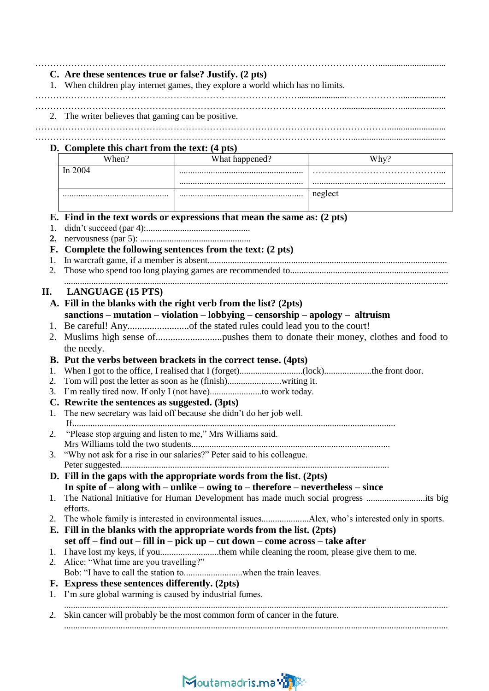|    | C. Are these sentences true or false? Justify. (2 pts)                                          | 1. When children play internet games, they explore a world which has no limits.             |                                                                                     |  |  |
|----|-------------------------------------------------------------------------------------------------|---------------------------------------------------------------------------------------------|-------------------------------------------------------------------------------------|--|--|
|    | 2. The writer believes that gaming can be positive.                                             |                                                                                             |                                                                                     |  |  |
|    |                                                                                                 |                                                                                             |                                                                                     |  |  |
|    | D. Complete this chart from the text: (4 pts)                                                   |                                                                                             |                                                                                     |  |  |
|    | When?                                                                                           | What happened?                                                                              | Why?                                                                                |  |  |
|    | In 2004                                                                                         |                                                                                             |                                                                                     |  |  |
|    |                                                                                                 |                                                                                             |                                                                                     |  |  |
|    |                                                                                                 |                                                                                             | neglect                                                                             |  |  |
|    |                                                                                                 | E. Find in the text words or expressions that mean the same as: (2 pts)                     |                                                                                     |  |  |
| 1. |                                                                                                 |                                                                                             |                                                                                     |  |  |
| 2. |                                                                                                 |                                                                                             |                                                                                     |  |  |
| F. |                                                                                                 | Complete the following sentences from the text: (2 pts)                                     |                                                                                     |  |  |
| 1. |                                                                                                 |                                                                                             |                                                                                     |  |  |
| 2. |                                                                                                 |                                                                                             |                                                                                     |  |  |
| П. | <b>LANGUAGE (15 PTS)</b>                                                                        |                                                                                             |                                                                                     |  |  |
|    |                                                                                                 | A. Fill in the blanks with the right verb from the list? (2pts)                             |                                                                                     |  |  |
|    |                                                                                                 | sanctions - mutation - violation - lobbying - censorship - apology - altruism               |                                                                                     |  |  |
|    |                                                                                                 |                                                                                             |                                                                                     |  |  |
| 2. |                                                                                                 |                                                                                             |                                                                                     |  |  |
|    | the needy.                                                                                      |                                                                                             |                                                                                     |  |  |
|    |                                                                                                 |                                                                                             |                                                                                     |  |  |
| 1. | B. Put the verbs between brackets in the correct tense. (4pts)                                  |                                                                                             |                                                                                     |  |  |
| 2. |                                                                                                 |                                                                                             |                                                                                     |  |  |
|    |                                                                                                 |                                                                                             |                                                                                     |  |  |
|    | C. Rewrite the sentences as suggested. (3pts)                                                   |                                                                                             |                                                                                     |  |  |
|    | The new secretary was laid off because she didn't do her job well.                              |                                                                                             |                                                                                     |  |  |
|    |                                                                                                 |                                                                                             |                                                                                     |  |  |
| 2. | "Please stop arguing and listen to me," Mrs Williams said.                                      |                                                                                             |                                                                                     |  |  |
|    |                                                                                                 |                                                                                             |                                                                                     |  |  |
| 3. | "Why not ask for a rise in our salaries?" Peter said to his colleague.                          |                                                                                             |                                                                                     |  |  |
|    |                                                                                                 |                                                                                             |                                                                                     |  |  |
|    |                                                                                                 | D. Fill in the gaps with the appropriate words from the list. $(2pts)$                      |                                                                                     |  |  |
|    |                                                                                                 | In spite of $-$ along with $-$ unlike $-$ owing to $-$ therefore $-$ nevertheless $-$ since |                                                                                     |  |  |
| 1. |                                                                                                 |                                                                                             | The National Initiative for Human Development has made much social progress its big |  |  |
|    | efforts.                                                                                        |                                                                                             |                                                                                     |  |  |
|    | 2. The whole family is interested in environmental issuesAlex, who's interested only in sports. |                                                                                             |                                                                                     |  |  |
|    | E. Fill in the blanks with the appropriate words from the list. (2pts)                          |                                                                                             |                                                                                     |  |  |
|    | set off – find out – fill in – pick up – cut down – come across – take after                    |                                                                                             |                                                                                     |  |  |
| 1. |                                                                                                 | I have lost my keys, if youthem while cleaning the room, please give them to me.            |                                                                                     |  |  |
| 2. | Alice: "What time are you travelling?"                                                          |                                                                                             |                                                                                     |  |  |
|    |                                                                                                 |                                                                                             |                                                                                     |  |  |
|    | F. Express these sentences differently. (2pts)                                                  |                                                                                             |                                                                                     |  |  |
| 1. | I'm sure global warming is caused by industrial fumes.                                          |                                                                                             |                                                                                     |  |  |
|    |                                                                                                 | 2. Skin cancer will probably be the most common form of cancer in the future.               |                                                                                     |  |  |
|    |                                                                                                 |                                                                                             |                                                                                     |  |  |

## Moutamadris.ma